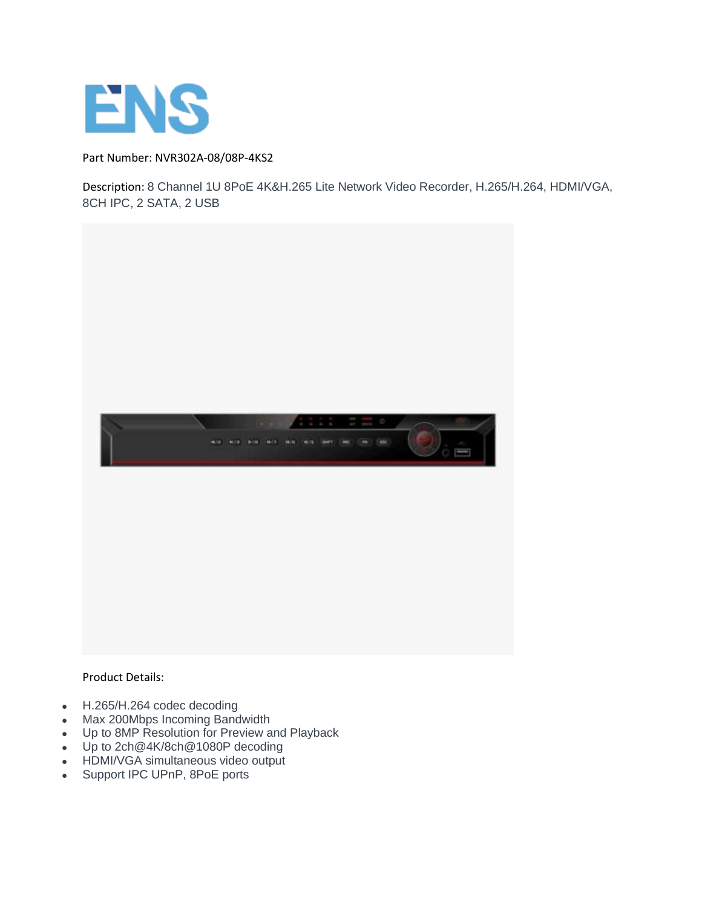

Part Number: NVR302A-08/08P-4KS2

Description: 8 Channel 1U 8PoE 4K&H.265 Lite Network Video Recorder, H.265/H.264, HDMI/VGA, 8CH IPC, 2 SATA, 2 USB



Product Details:

- H.265/H.264 codec decoding
- Max 200Mbps Incoming Bandwidth
- Up to 8MP Resolution for Preview and Playback
- Up to 2ch@4K/8ch@1080P decoding
- HDMI/VGA simultaneous video output
- Support IPC UPnP, 8PoE ports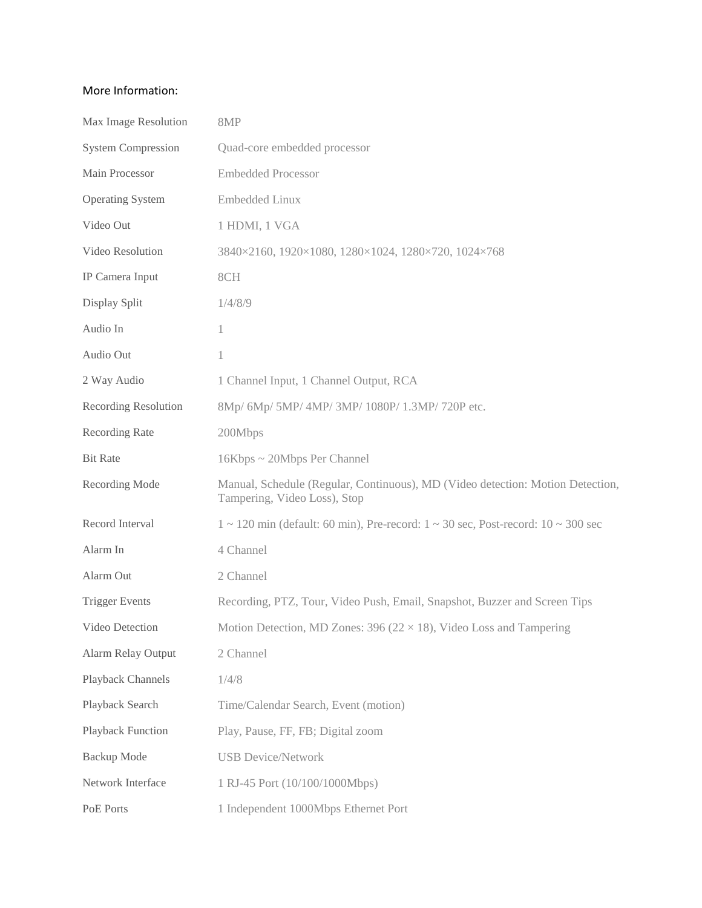## More Information:

| Max Image Resolution        | 8MP                                                                                                            |
|-----------------------------|----------------------------------------------------------------------------------------------------------------|
| <b>System Compression</b>   | Quad-core embedded processor                                                                                   |
| Main Processor              | <b>Embedded Processor</b>                                                                                      |
| <b>Operating System</b>     | <b>Embedded Linux</b>                                                                                          |
| Video Out                   | 1 HDMI, 1 VGA                                                                                                  |
| Video Resolution            | 3840×2160, 1920×1080, 1280×1024, 1280×720, 1024×768                                                            |
| IP Camera Input             | 8CH                                                                                                            |
| Display Split               | 1/4/8/9                                                                                                        |
| Audio In                    | 1                                                                                                              |
| Audio Out                   | 1                                                                                                              |
| 2 Way Audio                 | 1 Channel Input, 1 Channel Output, RCA                                                                         |
| <b>Recording Resolution</b> | 8Mp/ 6Mp/ 5MP/ 4MP/ 3MP/ 1080P/ 1.3MP/ 720P etc.                                                               |
| Recording Rate              | 200Mbps                                                                                                        |
| <b>Bit Rate</b>             | 16Kbps ~ 20Mbps Per Channel                                                                                    |
| Recording Mode              | Manual, Schedule (Regular, Continuous), MD (Video detection: Motion Detection,<br>Tampering, Video Loss), Stop |
| Record Interval             | $1 \sim 120$ min (default: 60 min), Pre-record: $1 \sim 30$ sec, Post-record: $10 \sim 300$ sec                |
| Alarm In                    | 4 Channel                                                                                                      |
| Alarm Out                   | 2 Channel                                                                                                      |
| <b>Trigger Events</b>       | Recording, PTZ, Tour, Video Push, Email, Snapshot, Buzzer and Screen Tips                                      |
| Video Detection             | Motion Detection, MD Zones: 396 ( $22 \times 18$ ), Video Loss and Tampering                                   |
| <b>Alarm Relay Output</b>   | 2 Channel                                                                                                      |
| Playback Channels           | 1/4/8                                                                                                          |
| Playback Search             | Time/Calendar Search, Event (motion)                                                                           |
| Playback Function           | Play, Pause, FF, FB; Digital zoom                                                                              |
| <b>Backup</b> Mode          | <b>USB Device/Network</b>                                                                                      |
| Network Interface           | 1 RJ-45 Port (10/100/1000Mbps)                                                                                 |
| PoE Ports                   | 1 Independent 1000Mbps Ethernet Port                                                                           |